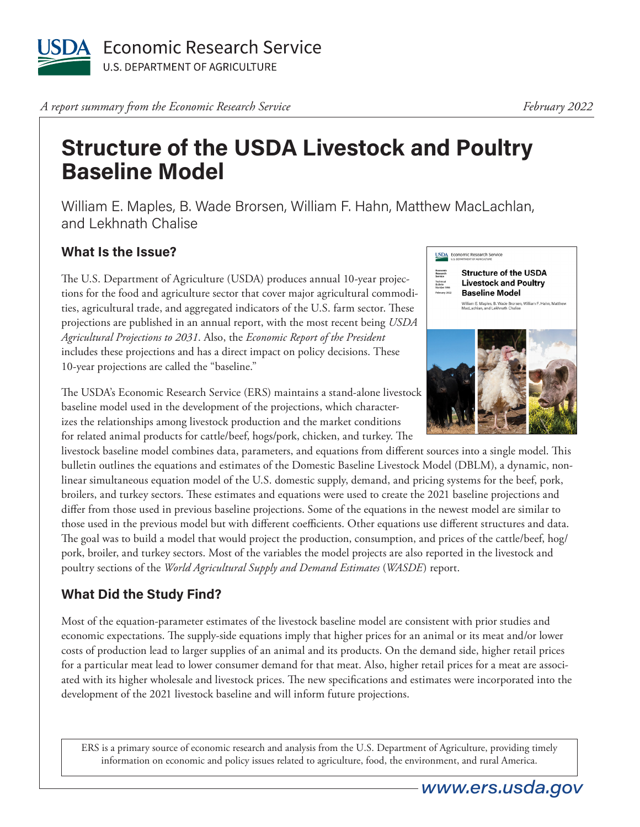

*A report summary from the Economic Research Service* 

## **Structure of the USDA Livestock and Poultry Baseline Model**

William E. Maples, B. Wade Brorsen, William F. Hahn, Matthew MacLachlan, and Lekhnath Chalise

## **What Is the Issue?**

The U.S. Department of Agriculture (USDA) produces annual 10-year projections for the food and agriculture sector that cover major agricultural commodities, agricultural trade, and aggregated indicators of the U.S. farm sector. These projections are published in an annual report, with the most recent being *USDA Agricultural Projections to 2031*. Also, the *Economic Report of the President* includes these projections and has a direct impact on policy decisions. These 10-year projections are called the "baseline."

The USDA's Economic Research Service (ERS) maintains a stand-alone livestock baseline model used in the development of the projections, which characterizes the relationships among livestock production and the market conditions for related animal products for cattle/beef, hogs/pork, chicken, and turkey. The

livestock baseline model combines data, parameters, and equations from different sources into a single model. This bulletin outlines the equations and estimates of the Domestic Baseline Livestock Model (DBLM), a dynamic, nonlinear simultaneous equation model of the U.S. domestic supply, demand, and pricing systems for the beef, pork, broilers, and turkey sectors. These estimates and equations were used to create the 2021 baseline projections and differ from those used in previous baseline projections. Some of the equations in the newest model are similar to those used in the previous model but with different coefficients. Other equations use different structures and data. The goal was to build a model that would project the production, consumption, and prices of the cattle/beef, hog/ pork, broiler, and turkey sectors. Most of the variables the model projects are also reported in the livestock and poultry sections of the *World Agricultural Supply and Demand Estimates* (*WASDE*) report.

## **What Did the Study Find?**

Most of the equation-parameter estimates of the livestock baseline model are consistent with prior studies and economic expectations. The supply-side equations imply that higher prices for an animal or its meat and/or lower costs of production lead to larger supplies of an animal and its products. On the demand side, higher retail prices for a particular meat lead to lower consumer demand for that meat. Also, higher retail prices for a meat are associated with its higher wholesale and livestock prices. The new specifications and estimates were incorporated into the development of the 2021 livestock baseline and will inform future projections.

ERS is a primary source of economic research and analysis from the U.S. Department of Agriculture, providing timely information on economic and policy issues related to agriculture, food, the environment, and rural America.